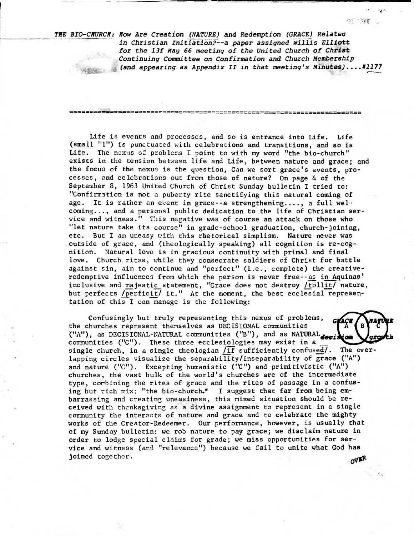THE **BIO-CMURCH: Mow Are Creation (NATURE) and Redemption (GRACE) Relatea in Christian Initiation?--a paper assigned Wilils Elliott for the 13f May 66 meeting of the United Church of Christ**  Continuing Committee on Confirmation and Church Membership **(and appearing as Appendix II in that meeting's Minutes)....#1177** 

○言言

<u>Sing and the time and the time and was not the time was that we have the time and the single</u>

Life is events and processes, and so is entrance into Life. Life (small "1") is punctuated with celebrations and transitions, and so is Life. The nexus of problems I point to with my word "the bio-church" exists in the tension between life and Life, between nature and grace; and the focus of the nexus is the question, Can we sort grace's events, processes, and celebrations out from those of nature? On page 4 of the September 8, 1963 United Church of Christ Sunday bulletin I tried to: "Confirmation is not a puberty rite sanctifying this natural coming of age. It is rather an event in grace--a strengthening...., a full welcoming..., and a personal public dedication to the life of Christian service and witness." This negative was of course an attack on those who "let nature take its course" in grade-school graduation, church-joining, etc. But I am uneasy with this rhetorical simplism. Nature never was outside of grace, and (theologically speaking) all cognition is re-cognition. Natural love is in gracious continuity with primal and final love. Church rites, while they consecrate soldiers of Christ for battle against sin, aim to continue and "perfect" (i.e., complete) the creativeredemptive influences from which the person is never free--as in Aquinas' inclusive and majestic statement, "Grace does not destroy /tollit/ nature, but perfects /perficit/ it." At the moment, the best ecclesial representation of this I can manage is the following:

Confusingly but truly representing this nexus of problems,  $G_{\mathbf{A}}^{\mathbf{A}}$ the churches represent themselves as DECISIONAL communities ("A"), as DECISIONAL-NATURAL communities ("B"), and as NATURAL **deei**  communities ("C"). These three ecclesiologies may exist in a single church, in a single theologian  $/\widetilde{if}$  sufficiently confused/. The overlapping circles visualize the separability/inseparability of grace ("A") and nature ("C"). Excepting humanistic ("C") and primitivistic ("A") churches, the vast bulk of the world's churches are of the intermediate type, corbining the rites of grace and the rites of passage in a confusing but rich mix: "the bio-church." I suggest that far from being embarrassing and creating uneasiness, this mixed situation should be received with thanksgiving as a divine assignment to represent in a single community the interests of nature and grace and to celebrate the mighty works of the Creator-Redeemer. Our performance, however, is usually that of my Sunday bulletin: we rob nature to pay grace; we disclaim nature in order to lodge special claims for grade; we miss opportunities for service and witness (and "relevance") because we fail to unite what God has joined together.  $OV$ <sub> $R$ </sub> $R$